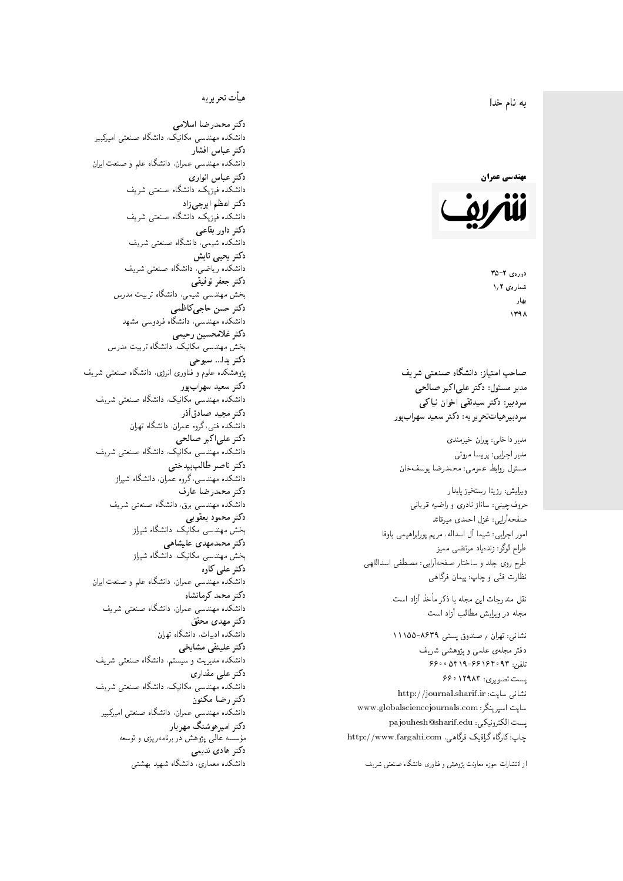#### $\overline{\phantom{a}}$ ز<br>ن به نام خدا .<br>.



دورەي ٢-٣۵ شمارەي ۱٫۲ بهار 1398

مدیر مسئول: دکتر علیاکبر صالحی  $\overline{a}$ سردېيرهياتټحر ير يه: دکتر سعيد سهرابپور سردبیر: دکتر سیدتقی اخوان نیاکی

طراح لوگو: زندهیاد مرتضمی ممیز<br>ا طرح روى جلد و ساختار صفحه[رایی: مصطفى اسداللهی<br>بنالمستقد نظارت فٽ<sub>ی</sub> و چاپ: پيمان فرگاه<sub>ی</sub><br>. ويرايش: رزيتا رستخيز پايدار<br>م صفحهآرایی: غزل احمدی میرقائد<br>امور اجرایی: شیما آل اسداله، مریم پورابراهیمی باوفا صماحب امتياز: دانشكاه صنعتى شريف<br>مدير مسئول: دكتر على اكبر صالحى<br>سردبير: دكتر سيدتقى اخوان نياكى<br>سردبيرهياتتحريريه: دكتر سعيد سهوابپور<br>مدير اجرايى: پريسا مروتى<br>مسئول روابط عمومى: محمدرضا يوسفخان<br>حروفچينى: ساناز نادرى و را حروف چینبی: ساناز نادری و راضیه قربانبی

نقل مندرجات این مجله با ذکر مأخذ آزاد است.<br>مجله در ویرایش مطالب آزاد است.

نشانی: تهران / حسندوق پستی ۸۶۳۹-۱۱۱۵۵ دفتر مجلهى علمى و پژوهشى شريف 5600 0419-991940 % 073 پست تصویری: ۱۲۹۸۳ ۶۶۰ نشانی سایت: http://journal.sharif.ir<br>ء سایت اسپرینگر: www.globalsciencejournals.com<br>افکار کافی کے مطابق کافیل کے مطابق کافیل کے مطابق کافیل کے مطابق کافیل کرنا pajouhesh@sharif.edu :يست الكترونيكي:  ${\rm http://www.fargahi.com}$  خارگاه گرافیک فرگاهی، مذير داخلى: پوران خيرمندى<br>مذير اجرايى: پويسا مروتى<br>سينئول روابط عمومى: محمدرضا يوسف خان<br>سينئول روابط عمومى: محمدرضا يوسف خان<br>صفحه آريى: ثيريا ستخيز پايدار<br>صفحه آريى: ثيريا اسداله، مريم پورابراهيمى باوفا<br>طوح تركي: تنديات ا

## هيأت تحريريه

دكتر محمدرضا اسلامى مکانیک، دانشگاه صنعتی امیرکبیر<br>. دكتر عباس افشار دانشکده مهندسی عمران، دانشگاه علم و صنعت ایران<br>بحمد مصلحات دكتر عباس انوارى دانشکده فیزیک، دانشگاه صنعتبی شریف<br>محمد استانسا دکتر اعظم ايرجى زاد ، دانشگاه صنعتبی شریف<br>. دکتر داور بقاع**ی** دانشکده شیمی، دانشگاه صنعتی شریف<br>دکتر یحیی تابش دانشکده ریاضی، دانشگاه صنعتی شریف<br>برمسمنستانستان دكتر جعفر توفيقي بخش مهندسی شیمی، دانشگاه تربیت مدرس<br>سم دكتر حسن حاجىكاظمي دانشکده مهندسی، دانشگاه فردوسی مشهد<br>کستفلار م دكتر غلامحسين رحيمي هندسی مکانیک، دانشگاه تربیت مدرس<br>ا دکتر یدا... سبوحی یژوهشکده علوم و فناوری انرژی، دانشگاه صنعتی شریف دکتر سعید سهرابپور<br>دانشکده مهندسی مکانیک، دانشگاه صنعتی شریف دکتر مجيد صادقاذر ا<br>. دانشکده فنی، گروه عمران، دانشگاه تهران دکتر علیاکبر صالحی = دانشکده مهندسی مکانیک، دانشگاه صنعتی شریف<br>یکستا دکتر ناصر طالب بیدختی r  $\mathfrak{c}$ دانشکده مهندسی، گروه عمران، دانشگاه شیراز<br>مکتب مصدر مقبل علم دكتر محمدرضا عارف دانشکده مهندسی برق، دانشگاه صنعتی شریف<br><mark>دکتر محمود یعقوبی</mark> هندسی مکانیک، دانشگاه شیراز<br>مسدوده مصلوفیاه دکتر محمدمهدی علیشاهی بخش مهندسی مکانیک، دانشگاه شیراز<br>مکتبهای کابی دکتر علی کاوہ دانشکده مهندسی عمران، دانشگاه علم و صنعت ایران<br>بحت دکتر محمد کرمانشاه .<br>. دانشکده مهندسی عمران، دانشگاه صنعتی شریف<br>مکتبر دولت مستق دکتر مهد*ی* محقق دانشکده ادبیات، دانشگاه تهران دکتر علینقی مشایخ<u>ی</u> دانشکده مدیریت و سیستم، دانشگاه صنعتبی شریف<br>محمد باید تعدا دکتر عل*ی* مقداری مکانیک، دانشگاه صنعتی شریف<br>. دكتر رضا مكنون دانشکده مهندسی عمران. دانشگاه صنعتی امیرکبیر<br>محمد است میگ دکتر امیرهوشنگ مهریار سه عالمی پژوهش در برنامهریزی و توسعه<br>۱۹ادم خار موسه<br>بر ءُ<br>ك دکتر هادی ندیمی  $\overline{a}$ م النظامي التي يتناول التي تتناول التي تتناول التي تتناول التي تتناول التي تتناول التي تتناول التي تتناول التي<br>يتناول التي تتناول التي تتناول التي تتناول التي تتناول التي تتناول التي تتناول التي تتناول التي تتناول التي تت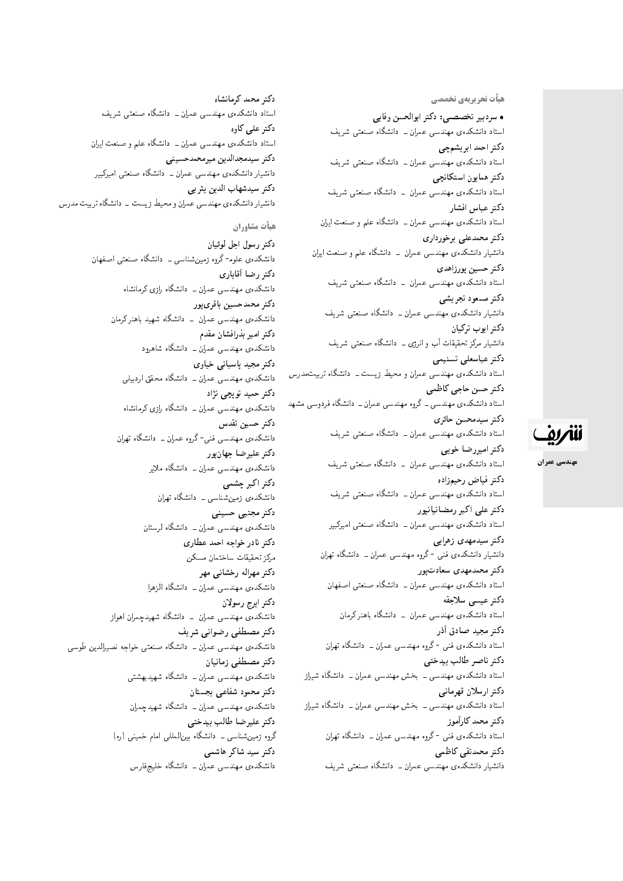هیأت تحریریهی تخ*صص*ی

• سردبیر تخصصی: دکتر ابوالحسن وفایی استاد دانشکدهی مهندسی عمران ــ دانشگاه صنعتبی شریف دكتر احمد ابريشمچي استاد دانشکدهی مهندسی عمران ــ دانشگاه صنعتی شریف دكتر همايون استكانچى استاد دانشکدهی مهندسی عمران – دانشگاه صنعتبی شریف دكتر عباس افشار استاد دانشکدهی مهندسی عمران ــ دانشگاه علم و صنعت ایران دكتر محمدعلى برخوردارى دانشیار دانشکدهی مهندسی عمران \_ دانشگاه علم و صنعت ایران دكتر حسين پورزاهدى استاد دانشکدهی مهندسی عمران – دانشگاه صنعتی شریف دكتر مسعود تجريشي دانشیار دانشکدهی مهندسی عمران ــ دانشگاه صنعتبی شریف دكتر ايوب تركيان دانشیار مرکز تحقیقات آب و انرژی ـــ دانشگاه صنعتبی شریف دكتر عباسعلى تسنيمى استاد دانشکدهی مهندسی عمران و محیط زیست ـ دانشگاه تربیت *مدرس* دكتر حسن حاجي كاظمى استاد دانشکدهی مهندسی ــ گروه مهندسی عمران ــ دانشگاه فردوسی مشهد دكتر سيدمحسن حائرى استاد دانشکدهی مهندسی عمران ــ دانشگاه صنعتی شریف دكتر اميررضا خوبي استاد دانشکدهی مهندسی عمران – دانشگاه صنعتی شریف دكتر فياض رحيمزاده استاد دانشکدهی مهندسی عمران ــ دانشگاه صنعتی شریف دکتر علی اکبر رمضانیانیور استاد دانشکدهی مهندسی عمران ـــ دانشگاه صنعتی امیرکبیر دکتر سیدمهدی زهرای<u>ی</u> دانشیار دانشکدهی فنی -گروه مهندسی عمران ــ دانشگاه تهران دکتر محمدمهدی سعادت یور استاد دانشکدهی مهندسی عمران ــ دانشگاه صنعتی اصفهان دكتر عيسى سلاجقه استاد دانشکدهی مهندسی عمران – دانشگاه باهنر کرمان دکتر مجيد صادق أذر استاد دانشکدهى فنى -گروه مهندسى عمران ــ دانشگاه تهران دكتر ناصر طالب بيدختى استاد دانشکدهی مهندسی ـ بخش مهندسی عمران ـ دانشگاه شیراز دكتر ارسلان قهرماني استاد دانشکدهی مهندسی ــ بخش مهندسی عمران ــ دانشگاه شیراز دكتر محمد كارأموز استاد دانشکدهی فنبی -گروه مهندسی عمران ــ دانشگاه تهران دكتر محمدتقى كاظمى

دانشیار دانشکدهی مهندسی عمران ــ دانشگاه صنعتی شریف

دكتر محمد كرمانشاه استاد دانشکدهی مهندسی عمران ــ دانشگاه صنعتی شریف دکتر عل*ی* کاوہ استاد دانشکدهی مهندسی عمران ــ دانشگاه علم و صنعت ایران دكتر سيدمجدالدين ميرمحمدحسيني دانشیار دانشکدهی مهندسی عمران ـــ دانشگاه صنعتی امیرکبیر دكتر سيدشهاب الدين يثر بى دانشیار دانشکدهی مهندسی عمران و محیط زیست \_ دانشگاه تربیت مدرس هيأت مشاوران دكتر رسول اجل لوئيان دانشکدهی علوم<sup>ـ</sup> گروه زمین¢شناسی ـ دانشگاه صنعتی اصفهان دكتر رضا أقايارى دانشکدهی مهندسی عمران ـــ دانشگاه رازی کرمانشاه دكتر محمدحسين باقرىيور دانشکدهی مهندسی عمران ــ دانشگاه شهید باهنرکرمان دكتر امير بذرافشان مقدم دانشکده، مهندسی عمران ــ دانشگاه شاهرود دکتر مجید پاسبانی خیاوی دانشکدهی مهندسی عمران ــ دانشگاه محقق اردبیلی دکتر حمید توپچی نژاد دانشکدهی مهندسی عمران ــ دانشگاه رازی کرمانشاه دكتر حسين تقدس دانشکدهی مهندسی فنی-گروه عمران ــ دانشگاه تهران دكتر عليرضا جهان يور دانشکدهی مهندسی عمران ــ دانشگاه ملایر دكتر اكبر چشمى دانشکدهی زمین شناسی ــ دانشگاه تهران دكتر مجتبى حسينى دانشکدهی مهندسی عمران ــ دانشگاه لرستان دكتر نادر خواجه احمد عطارى مركز تحقيقات ساختمان مسكن دکتر مهراله رخشانبي مهر دانشکده، مهندسی عمران ــ دانشگاه الزهرا دكتر ايرج رسولان دانشکده ی مهندسی عمران ـــ دانشگاه شهیدچمران اهواز دکتر مصطفی رضوانی شریف دانشکدهی مهندسی عمران ــ دانشگاه صنعتی خواجه نصیرالدین طوسی

دكتر مصطفى زمانيان

دكتر محمود شفاعي بجستان

دكتر عليرضا طالب بيدختى

دکتر سید شاکر هاشمی

دانشکدهی مهندسی عمران ــ دانشگاه شهیدبهشتی

دانشکدهی مهندسی عمران ــ دانشگاه شهیدچمران

دانشکدهی مهندسی عمران ــ دانشگاه خلیجفارس

گروه زمین شناسی ــ دانشگاه بین|لمللی امام خمینی (ره)

للمريق

مهندسي عمران